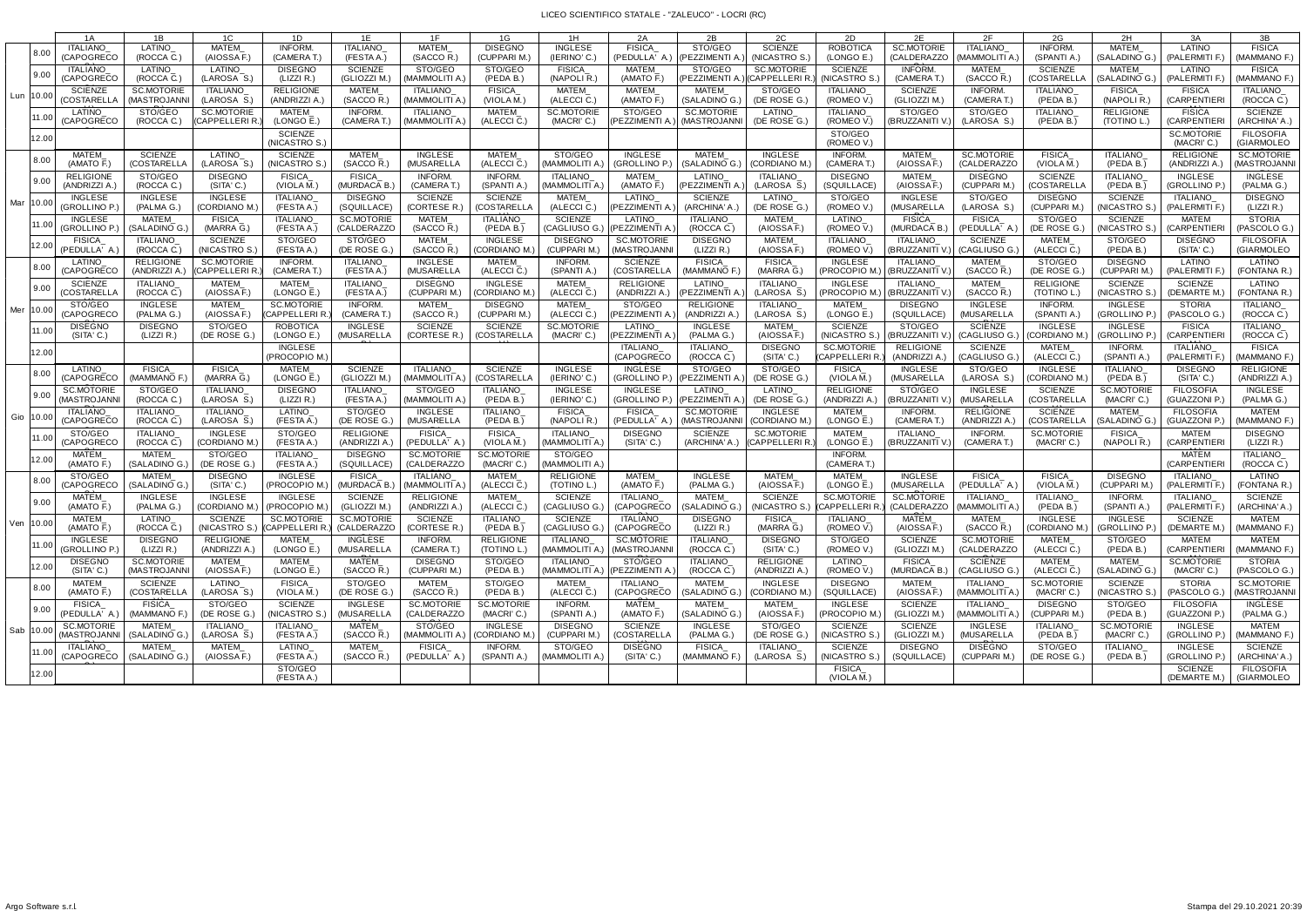## LICEO SCIENTIFICO STATALE - "ZALEUCO" - LOCRI (RC)

|             | 1A                                          | 1B                              | 1C                               | 1D                                                             | 1E                            | 1F                               | 1G                                       | 1H                              | 2A                               | 2B                            | 2C                            | 2D                                 | 2E                                       | 2F                              | 2G                              | 2H                              | 3A                                 | 3B                             |
|-------------|---------------------------------------------|---------------------------------|----------------------------------|----------------------------------------------------------------|-------------------------------|----------------------------------|------------------------------------------|---------------------------------|----------------------------------|-------------------------------|-------------------------------|------------------------------------|------------------------------------------|---------------------------------|---------------------------------|---------------------------------|------------------------------------|--------------------------------|
|             | <b>ITALIANO</b>                             | LATINO                          | <b>MATEM</b>                     | INFORM.                                                        | <b>ITALIANO</b>               | <b>MATEM</b>                     | <b>DISEGNO</b>                           | <b>INGLESE</b>                  | <b>FISICA</b>                    | STO/GEO                       | <b>SCIENZE</b>                | <b>ROBOTICA</b>                    | <b>SC.MOTORIE</b>                        | <b>ITALIANO</b>                 | <b>INFORM</b>                   | <b>MATEM</b>                    | LATINO                             | <b>FISICA</b>                  |
| 8.00        | <b>(CAPOGRECC</b>                           | (ROCCA C.)                      | (AIOSSA F.)                      | (CAMERA T.)                                                    | (FESTA A.)                    | (SACCO R.)                       | (CUPPARI M.                              | (IERINO' C.)                    | (PEDULLA' A.)                    | (PEZZIMENTI A                 | (NICASTRO S.                  | (LONGO E.)                         | (CALDERAZZO                              | mammoliti a.                    | (SPANTI A.                      | (SALADINO G.)                   | (PALERMITI F.)                     | MAMMANO F.)                    |
| 9.00        | ITALIANO                                    | LATINO                          | <b>LATINO</b>                    | <b>DISEGNO</b>                                                 | <b>SCIENZE</b>                | STO/GEO                          | STO/GEO                                  | <b>FISICA</b>                   | <b>MATEM</b>                     | STO/GEO                       | <b>SC.MOTORIE</b>             | <b>SCIENZE</b>                     | INFORM.                                  | <b>MATEM</b>                    | <b>SCIENZE</b>                  | <b>MATEM</b>                    | LATINO                             | <b>FISICA</b>                  |
|             | <b>(CAPOGRECO</b>                           | (ROCCA C.)                      | (LAROSA S.                       | (LIZZI R.)                                                     | (GLIOZZI M.                   | (MAMMOLITI A                     | (PEDA B.)                                | (NAPOLI <sub>R</sub> .          | (AMATO F.)                       | (PEZZIMENTI A.                | (CAPPELLERI R                 | (NICASTRO S.                       | (CAMERAT.)                               | (SACCOR.                        | (COSTARELLA                     | (SALADINO G.                    | (PALERMITI F.                      | (MAMMANO F.)                   |
| Lun  10.00  | <b>SCIENZE</b>                              | <b>SC.MOTORIE</b>               | <b>ITALIANO</b>                  | <b>RELIGIONE</b>                                               | MATEM                         | <b>ITALIANO</b>                  | <b>FISICA</b>                            | MATEM                           | <b>MATEM</b>                     | <b>MATEM</b>                  | STO/GEO                       | <b>ITALIANO</b>                    | <b>SCIENZE</b>                           | <b>INFORM</b>                   | <b>ITALIANO</b>                 | <b>FISICA</b>                   | <b>FISICA</b>                      | <b>ITALIANO</b>                |
|             | (COSTARELLA                                 | (MASTROJANN                     | (LAROSA $\overline{S}$ .)        | (ANDRIZZI A                                                    | $(SACCO \overline{R})$        | (MAMMOLITI A.                    | (VIOLA M.)                               | $(ALECCI\overline{C})$          | $(AMATO \overline{F})$           | (SALADINO G.)                 | (DE ROSE G.                   | (ROMEO V.                          | (GLIOZZI M.                              | (CAMERAT.)                      | (PEDA B.)                       | (NAPOLI R.)                     | (CARPENTIER)                       | (ROCCA C.)                     |
| 11.00       | LATINO                                      | STO/GEO                         | <b>SC.MOTORIE</b>                | MATEM                                                          | <b>INFORM.</b>                | <b>ITALIANO</b>                  | <b>MATEM</b>                             | <b>SC.MOTORIE</b>               | STO/GEO                          | <b>SC.MOTORIE</b>             | <b>LATINO</b>                 | <b>ITALIANO</b>                    | STO/GEO                                  | STO/GEO                         | <b>ITALIANO</b>                 | <b>RELIGIONE</b>                | <b>FISICA</b>                      | <b>SCIENZE</b>                 |
|             | (CAPOGRECC                                  | (ROCCA C.)                      | (CAPPELLERI R.                   | (LONGO E.                                                      | (CAMERAT.)                    | (MAMMOLITI A                     | (ALECCI C.                               | (MACRI' C.)                     | PEZZIMENTI A                     | (MASTROJANNI                  | (DE ROSE G.                   | (ROMEO V.)                         | (BRUZZANITI                              | (LAROSA S.)                     | (PEDA B.)                       | (TOTINO L.                      | <b>CARPENTIEF</b>                  | (ARCHINA' A.)                  |
| 12.00       |                                             |                                 |                                  | <b>SCIENZE</b><br>(NICASTRO S.)                                |                               |                                  |                                          |                                 |                                  |                               |                               | STO/GEO<br>(ROMEO V.)              |                                          |                                 |                                 |                                 | <b>SC.MOTORIE</b><br>(MACRI'C.)    | <b>FILOSOFIA</b><br>(GIARMOLEO |
| 8.00        | <b>MATEM</b>                                | <b>SCIENZE</b>                  | LATINO                           | <b>SCIENZE</b>                                                 | MATEM                         | <b>INGLESE</b>                   | <b>MATEM</b>                             | STO/GEO                         | <b>INGLESE</b>                   | <b>MATEM</b>                  | <b>INGLESE</b>                | <b>INFORM.</b>                     | MATEM                                    | <b>SC.MOTORIE</b>               | <b>FISICA</b>                   | <b>ITALIANO</b>                 | <b>RELIGIONE</b>                   | SC.MOTORIE                     |
|             | (AMATO F.)                                  | (COSTARELLA                     | (LAROSA S.)                      | (NICASTRO S.)                                                  | (SACCO R.)                    | (MUSARELLA                       | (ALECCI C.)                              | (MAMMOLITI A.                   | (GROLLINO P.)                    | (SALADINO G.)                 | (CORDIANO M                   | (CAMERAT.)                         | (AIOSSA F.                               | (CALDERAZZO                     | (VIOLA M.                       | (PEDA B.)                       | (ANDRIZZI A.                       | (MASTROJANN                    |
| 9.00        | <b>RELIGIONE</b>                            | STO/GEO                         | <b>DISEGNO</b>                   | <b>FISICA</b>                                                  | <b>FISICA</b>                 | INFORM.                          | <b>INFORM.</b>                           | <b>ITALIANO</b>                 | <b>MATEM</b>                     | LATINO                        | <b>ITALIANO</b>               | <b>DISEGNO</b>                     | MATEM                                    | <b>DISEGNO</b>                  | <b>SCIENZE</b>                  | <b>ITALIANO</b>                 | <b>INGLESE</b>                     | <b>INGLESE</b>                 |
|             | ANDRIZZI A                                  | (ROCCA C.)                      | (SITA' C.)                       | (VIOLA M.)                                                     | (MURDACA B.                   | (CAMERAT.)                       | (SPANTI A.)                              | (MAMMOLITI A.                   | $(AMATO \overline{F})$           | PEZZIMENTI A                  | (LAROSA S.                    | (SQUILLACE)                        | (AIOSSA F.                               | (CUPPARI M.                     | (COSTARELL                      | (PEDA B.)                       | (GROLLINO P.)                      | (PALMA G.)                     |
| Mar   10.00 | <b>INGLESE</b>                              | <b>INGLESE</b>                  | <b>INGLESE</b>                   | <b>ITALIANO</b>                                                | <b>DISEGNO</b>                | <b>SCIENZE</b>                   | <b>SCIENZE</b>                           | <b>MATEM</b>                    | <b>LATINO</b>                    | <b>SCIENZE</b>                | LATINO                        | STO/GEO                            | <b>INGLESE</b>                           | STO/GEO                         | <b>DISEGNO</b>                  | <b>SCIENZE</b>                  | <b>ITALIANO</b>                    | <b>DISEGNO</b>                 |
|             | (GROLLINO P.                                | (PALMA G.)                      | (CORDIANO M                      | (FESTA A.)                                                     | (SQUILLACE)                   | (CORTESE R.                      | (COSTARELL                               | (ALECCI C.)                     | PEZZIMENTI A                     | (ARCHINA' A.                  | (DE ROSE G.                   | (ROMEO V.)                         | (MUSARELLA                               | (LAROSA S.)                     | (CUPPARI M.                     | NICASTRO S                      | (PALERMITI F.                      | (LIZZI R.)                     |
|             | <b>INGLESE</b>                              | <b>MATEM</b>                    | <b>FISICA</b>                    | <b>ITALIANO</b>                                                | <b>SC.MOTORIE</b>             | <b>MATEM</b>                     | <b>ITALIANO</b>                          | <b>SCIENZE</b>                  | <b>LATINO</b>                    | <b>ITALIANO</b>               | <b>MATEM</b>                  | <b>LATINO</b>                      | <b>FISICA</b>                            | <b>FISICA</b>                   | STO/GEO                         | <b>SCIENZE</b>                  | <b>MATEM</b>                       | <b>STORIA</b>                  |
|             | (GROLLINO P.)                               | (SALADINO G.)                   | (MARRA G.)                       | (FESTA A.)                                                     | (CALDERAZZO                   | (SACCO R.)                       | (PEDA B.)                                | (CAGLIUSO G.)                   | (PEZZIMENTI A                    | (ROCCA C.)                    | (AIOSSA F.)                   | (ROMEO V.)                         | (MURDACA B.)                             | (PEDULLA' A.                    | (DE ROSE G.                     | (NICASTRO S.)                   | (CARPENTIER                        | (PASCOLO G.)                   |
| 12.00       | <b>FISICA</b>                               | ITALIANO                        | <b>SCIENZE</b>                   | STO/GEO                                                        | STO/GEO                       | <b>MATEM</b>                     | <b>INGLESE</b>                           | <b>DISEGNO</b>                  | <b>SC.MOTORIE</b>                | <b>DISEGNO</b>                | <b>MATEM</b>                  | <b>ITALIANO</b>                    | <b>ITALIANO</b>                          | <b>SCIENZE</b>                  | <b>MATEM</b>                    | STO/GEO                         | <b>DISEGNO</b>                     | <b>FILOSOFIA</b>               |
| 8.00        | (PEDULLA' A.<br>LATINO<br><b>(CAPOGRECO</b> | (ROCCA C.)<br><b>RELIGIONE</b>  | (NICASTRO S<br><b>SC.MOTORIE</b> | (FESTA A.<br>INFORM.<br>(CAMERAT.)                             | (DE ROSE G<br>ITALIANO        | (SACCO R.<br><b>INGLESE</b>      | (CORDIANO M<br>MATEM                     | (CUPPARI M.<br><b>INFORM.</b>   | (MASTROJANN<br><b>SCIENZE</b>    | (LIZZI R.)<br><b>FISICA</b>   | (AIOSSA F.<br>FISICA          | (ROMEO V.<br><b>INGLESE</b>        | (BRUZZANITI<br><b>ITALIANO</b>           | (CAGLIUSO G<br>MATEM            | (ALECCI C.<br>STO/GEO           | (PEDA B.)<br><b>DISEGNO</b>     | (SITA' C.)<br>LATINO               | (GIARMOLEO<br>LATINO           |
| 9.00        | <b>SCIENZE</b>                              | (ANDRIZZI A.<br><b>ITALIANO</b> | (CAPPELLERI R.<br>MATEM          | MATEM                                                          | (FESTA A.)<br>ITALIANO_       | (MUSARELLA<br><b>DISEGNO</b>     | $(ALECCI\overline{C})$<br><b>INGLESE</b> | (SPANTI A.)<br><b>MATEM</b>     | (COSTARELLA<br><b>RELIGIONE</b>  | (MAMMANO F.<br><b>LATINO</b>  | (MARRA G.)<br><b>ITALIANO</b> | (PROCOPIO M.)<br><b>INGLESE</b>    | <b>(BRUZZANITI V</b><br><b>ITALIANO</b>  | (SACCO R.<br><b>MATEM</b>       | (DE ROSE G.<br><b>RELIGIONE</b> | (CUPPARI M.)<br><b>SCIENZE</b>  | (PALERMITI F.)<br><b>SCIENZE</b>   | (FONTANA R.)<br>LATINO         |
| Mer   10.00 | (COSTARELL/                                 | (ROCCA C)                       | (AIOSSA F.)                      | (LONGO E.)                                                     | (FESTA A.)                    | (CUPPARI M.)                     | (CORDIANO M                              | $(ALECCI \bar{C})$              | (ANDRIZZI A.)                    | (PEZZIMENTI A                 | (LAROSA S.                    | (PROCOPIO M.)                      | (BRUZZANITI <sup>'</sup>                 | (SACCOR.                        | (TOTINO L.                      | (NICASTRO S                     | (DEMARTE M.                        | (FONTANA R.)                   |
|             | STO/GEO                                     | <b>INGLESE</b>                  | <b>MATEM</b>                     | <b>SC.MOTORIE</b>                                              | INFORM.                       | <b>MATEM</b>                     | <b>DISEGNO</b>                           | <b>MATEM</b>                    | STO/GEO                          | <b>RELIGIONE</b>              | <b>ITALIANO</b>               | <b>MATEM</b>                       | <b>DISEGNO</b>                           | <b>INGLESE</b>                  | <b>INFORM</b>                   | <b>INGLESE</b>                  | <b>STORIA</b>                      | ITALIANO                       |
| 11.00       | <b>(CAPOGRECO</b>                           | (PALMA G.)                      | (AIOSSA F.)                      | <b>CAPPELLERI R</b>                                            | (CAMERAT.                     | (SACCO R.)                       | (CUPPARI M.                              | (ALECCI C.)                     | PEZZIMENTI A                     | (ANDRIZZI A.                  | LAROSA S.                     | (LONGO E.)                         | (SQUILLACE                               | MUSARELLA                       | (SPANTI A.                      | (GROLLINO P.)                   | (PASCOLO G.                        | (ROCCA C.)                     |
|             | <b>DISEGNO</b>                              | <b>DISEGNO</b>                  | STO/GEO                          | <b>ROBOTICA</b>                                                | <b>INGLESE</b>                | <b>SCIENZE</b>                   | <b>SCIENZE</b>                           | <b>SC.MOTORIE</b>               | <b>LATINO</b>                    | <b>INGLESE</b>                | <b>MATEM</b>                  | <b>SCIENZE</b>                     | STO/GEO                                  | <b>SCIENZE</b>                  | <b>INGLESE</b>                  | <b>INGLESE</b>                  | <b>FISICA</b>                      | ITALIANO                       |
| 12.00       | (SITA' C.)                                  | (LIZZI R.)                      | (DE ROSE G.                      | (LONGO E.)<br><b>INGLESE</b>                                   | (MUSARELLA                    | (CORTESE R.)                     | (COSTARELLA                              | (MACRI'C.)                      | (PEZZIMENTI A<br><b>ITALIANO</b> | (PALMA G.)<br><b>ITALIANO</b> | (AIOSSA F.)<br><b>DISEGNO</b> | (NICASTRO S.)<br><b>SC.MOTORIE</b> | <b>(BRUZZANITI V</b><br><b>RELIGIONE</b> | (CAGLIUSO G.)<br><b>SCIENZE</b> | (CORDIANO M.<br><b>MATEM</b>    | (GROLLINO P.)<br><b>INFORM</b>  | (CARPENTIER<br>ITALIANO            | (ROCCA C.)<br><b>FISICA</b>    |
|             |                                             |                                 |                                  | (PROCOPIO M.                                                   |                               |                                  |                                          |                                 | (CAPOGRECO                       | (ROCCA C.)                    | (SITA' C.)                    | (CAPPELLERI R                      | (ANDRIZZI A.                             | (CAGLIUSO G                     | (ALECCI C.                      | (SPANTI A.                      | (PALERMITI F.                      | MAMMANO F.)                    |
| 8.00        | LATINO                                      | <b>FISICA</b>                   | <b>FISICA</b>                    | MATEM                                                          | <b>SCIENZE</b>                | <b>ITALIANO</b>                  | <b>SCIENZE</b>                           | <b>INGLESE</b>                  | <b>INGLESE</b>                   | STO/GEO                       | STO/GEO                       | <b>FISICA</b>                      | <b>INGLESE</b>                           | STO/GEO                         | <b>INGLESE</b>                  | <b>ITALIANO</b>                 | <b>DISEGNO</b>                     | <b>RELIGIONE</b>               |
|             | <b>(CAPOGRECC</b>                           | (MAMMANO F.                     | (MARRA G.)                       | (LONGO E.                                                      | (GLIOZZI M.                   | (MAMMOLITI A                     | (COSTARELL/                              | (IERINO' C.)                    | (GROLLINO P.)                    | (PEZZIMENTI A.                | (DE ROSE G.                   | (VIOLA M.)                         | (MUSARELLA                               | (LAROSA S.)                     | (CORDIANO M                     | (PEDA B.)                       | (SITA' C.)                         | (ANDRIZZI A.)                  |
| 9.00        | <b>SC.MOTORIE</b>                           | STO/GEO                         | <b>ITALIANO</b>                  | <b>DISEGNO</b>                                                 | <b>ITALIANO</b>               | STO/GEO                          | <b>ITALIANO</b>                          | <b>INGLESE</b>                  | <b>INGLESE</b>                   | LATINO                        | <b>LATINO</b>                 | <b>RELIGIONE</b>                   | STO/GEO                                  | <b>INGLESE</b>                  | <b>SCIENZE</b>                  | <b>SC.MOTORIE</b>               | <b>FILOSOFIA</b>                   | <b>INGLESE</b>                 |
|             | (MASTROJANN                                 | (ROCCA C.)                      | (LAROSA S.)                      | (LIZZI R.)                                                     | (FESTA A.)                    | (MAMMOLITI A.                    | (PEDA B.)                                | (IERINO' C.)                    | (GROLLINO P.)                    | (PEZZIMENTI A.                | (DE ROSE G.                   | (ANDRIZZI A.                       | (BRUZZANITI '                            | (MUSARELLA                      | (COSTARELL/                     | (MACRI'C.)                      | (GUAZZONI P.                       | (PALMA G.)                     |
| Gio   10.00 | ITALIANO                                    | <b>ITALIANO</b>                 | ITALIANO                         | LATINO                                                         | STO/GEO                       | <b>INGLESE</b>                   | <b>ITALIANO</b>                          | <b>FISICA</b>                   | <b>FISICA</b>                    | <b>SC.MOTORIE</b>             | <b>INGLESE</b>                | MATEM                              | <b>INFORM</b>                            | <b>RELIGIONE</b>                | <b>SCIENZE</b>                  | <b>MATEM</b>                    | <b>FILOSOFIA</b>                   | <b>MATEM</b>                   |
|             | (CAPOGRECO                                  | (ROCCA C.)                      | (LAROSA S.                       | (FESTA A.)                                                     | (DE ROSE G.                   | (MUSARELLA                       | (PEDA B.)                                | (NAPOLIR.)                      | (PEDULLA' A.                     | (MASTROJANN                   | (CORDIANO M                   | (LONGO E.                          | (CAMERAT.                                | (ANDRIZZI A.                    | (COSTARELL                      | (SALADINO G                     | (GUAZZONI P                        | MAMMANO F.)                    |
| 11.00       | STO/GEO                                     | <b>ITALIANO</b>                 | <b>INGLESE</b>                   | STO/GEO                                                        | <b>RELIGIONE</b>              | FISICA                           | <b>FISICA</b>                            | <b>ITALIANO</b>                 | <b>DISEGNO</b>                   | <b>SCIENZE</b>                | <b>SC.MOTORIE</b>             | MATEM                              | <b>ITALIANO</b>                          | INFORM.                         | <b>SC.MOTORIE</b>               | <b>FISICA</b>                   | <b>MATEM</b>                       | <b>DISEGNO</b>                 |
|             | (CAPOGRECC                                  | (ROCCA C.)                      | (CORDIANO M.                     | (FESTA A.)                                                     | (ANDRIZZI A.                  | (PEDULLA' A.                     | (VIOLA M.)                               | (MAMMOLITI A.                   | (SITA' C.)                       | (ARCHINA' A.)                 | <b>CAPPELLERI</b> R           | (LONGO E.                          | (BRUZZANITI \                            | (CAMERAT)                       | (MACRI'C.)                      | (NAPOLIR.                       | (CARPENTIER                        | (LIZZI R.)                     |
| 12.00       | <b>MATEM</b><br>(AMATO F.)                  | <b>MATEM</b><br>(SALADINO G.)   | STO/GEO<br>(DE ROSE G            | ITALIANO<br>(FESTA A.)                                         | <b>DISEGNO</b><br>(SQUILLACE) | <b>SC.MOTORIE</b><br>(CALDERAZZO | <b>SC.MOTORIE</b><br>(MACRI'C.)          | STO/GEO<br>(MAMMOLITI A         |                                  |                               |                               | <b>INFORM.</b><br>(CAMERAT.)       |                                          |                                 |                                 |                                 | <b>MATEM</b><br><b>(CARPENTIEF</b> | ITALIANO<br>(ROCCA C.)         |
| 8.00        | STO/GEO                                     | <b>MATEM</b>                    | <b>DISEGNO</b>                   | <b>INGLESE</b>                                                 | <b>FISICA</b>                 | ITALIANO                         | <b>MATEM</b>                             | <b>RELIGIONE</b>                | <b>MATEM</b>                     | <b>INGLESE</b>                | MATEM                         | <b>MATEM</b>                       | <b>INGLESE</b>                           | <b>FISICA</b>                   | <b>FISICA</b>                   | <b>DISEGNO</b>                  | <b>ITALIANO</b>                    | LATINO                         |
|             | <b>(CAPOGRECO</b>                           | (SALADINO G.)                   | (SITA' C.)                       | (PROCOPIO M.                                                   | (MURDACA B.                   | (MAMMOLITI A                     | (ALECCI C.)                              | (TOTINO L.)                     | (AMATO F.)                       | (PALMA G.)                    | (AIOSSA F.)                   | (LONGO E.)                         | (MUSARELLA                               | (PEDULLA' A.                    | (VIOLA M.                       | (CUPPARI M.                     | (PALERMITI F.                      | (FONTANA R.)                   |
| 9.00        | <b>MATEM</b>                                | <b>INGLESE</b>                  | <b>INGLESE</b>                   | <b>INGLESE</b>                                                 | <b>SCIENZE</b>                | <b>RELIGIONE</b>                 | <b>MATEM</b>                             | SCIENZE                         | <b>ITALIANO</b>                  | <b>MATEM</b>                  | <b>SCIENZE</b>                | <b>SC.MOTORIE</b>                  | <b>SC.MOTORIE</b>                        | <b>ITALIANO</b>                 | <b>ITALIANO</b>                 | INFORM.                         | <b>ITALIANO</b>                    | <b>SCIENZE</b>                 |
|             | (AMATO F.)                                  | (PALMA G.)                      | (CORDIANO M.)                    | (PROCOPIO M.                                                   | (GLIOZZI M.)                  | (ANDRIZZI A.                     | (ALECCI C.)                              | (CAGLIUSO G.                    | (CAPOGRECO                       | (SALADINO G.)                 | (NICASTRO S.)                 | <b>CAPPELLERIR</b>                 | (CALDERAZZO                              | (MAMMOLITI A.                   | (PEDA B.)                       | (SPANTI A.                      | (PALERMITI F.                      | (ARCHINA' A.)                  |
| Ven   10.00 | MATEM<br>(AMATO F.)                         | LATINO_<br>(ROCCA C.)           | SCIENZE                          | <b>SC.MOTORIE</b><br>(NICASTRO S.) (CAPPELLERI R.) (CALDERAZZO | SC.MOTORIE                    | <b>SCIENZE</b><br>(CORTESE R.)   | ITALIANO<br>(PEDA B.)                    | <b>SCIENZE</b><br>(CAGLIUSO G.) | ITALIANO<br>(CAPOGRECO           | <b>DISEGNO</b><br>(LIZZI R.)  | FISICA_<br>(MARRA G.)         | ITALIANO<br>(ROMEO V.)             | MATEM_<br>(AIOSSA F.)                    | MATEM_<br>(SACCO R.)            | <b>INGLESE</b><br>(CORDIANO M.) | <b>INGLESE</b><br>(GROLLINO P.) | <b>SCIENZE</b><br>(DEMARTE M.)     | <b>MATEM</b><br>(MAMMANO F.)   |
| 11.00       | INGLESE                                     | <b>DISEGNO</b>                  | <b>RELIGIONE</b>                 | <b>MATEM</b>                                                   | <b>INGLESE</b>                | INFORM.                          | <b>RELIGIONE</b>                         | <b>ITALIANO</b>                 | SC.MOTORIE                       | ITALIANO                      | <b>DISEGNO</b>                | STO/GEO                            | <b>SCIENZE</b>                           | <b>SC.MOTORIE</b>               | MATEM                           | STO/GEO                         | <b>MATEM</b>                       | MATEM                          |
|             | (GROLLINO P.)                               | (LIZZI R.)                      | (ANDRIZZI A.                     | (LONGO E.)                                                     | (MUSARELLA                    | (CAMERAT.)                       | (TOTINO L.)                              | (MAMMOLITI A.)                  | (MASTROJANN                      | (ROCCA C.)                    | (SITA' C.)                    | (ROMEO V.)                         | (GLIOZZI M.)                             | (CALDERAZZO                     | (ALECCI C.)                     | (PEDA B.)                       | (CARPENTIERI                       | (MAMMANO F.)                   |
| 12.00       | <b>DISEGNO</b>                              | <b>SC.MOTORIE</b>               | MATEM                            | MATEM                                                          | MATEM                         | <b>DISEGNO</b>                   | STO/GEO                                  | <b>ITALIANO</b>                 | STO/GEO                          | ITALIANO                      | <b>RELIGIONE</b>              | LATINO                             | <b>FISICA</b>                            | <b>SCIENZE</b>                  | MATEM                           | MATEM                           | <b>SC.MOTORIE</b>                  | <b>STORIA</b>                  |
|             | (SITA' C.)                                  | (MASTROJANNI                    | (AIOSSA F.)                      | (LONGO E.)                                                     | (SACCO R.)                    | (CUPPARI M.                      | (PEDA B.)                                | (MAMMOLITI A                    | (PEZZIMENTI A                    | (ROCCA C.)                    | (ANDRIZZI A.                  | (ROMEO V.)                         | (MURDACA B.                              | (CAGLIUSO G                     | (ALECCI C.)                     | (SALADINO G.                    | (MACRI'C.)                         | (PASCOLO G.)                   |
| 8.00        | MATEM                                       | SCIENZE                         | LATINO                           | FISICA                                                         | STO/GEO                       | MATEM                            | STO/GEO                                  | MATEM                           | ITALIANO                         | MATEM                         | <b>INGLESE</b>                | <b>DISEGNO</b>                     | MATEM                                    | ITALIANO                        | <b>SC.MOTORIE</b>               | SCIENZE                         | STORIA                             | <b>SC.MOTORIE</b>              |
|             | (AMATO F.)                                  | <b>(COSTARELLA</b>              | (LAROSA S.)                      | (VIOLA M.)                                                     | (DE ROSE G.)                  | (SACCO R.)                       | (PEDA B.)                                | $(ALECCI\overline{C})$          | (CAPOGRECO                       | (SALADINO G.)                 | (CORDIANO M.                  | (SQUILLACE)                        | (AIOSSA F.)                              | (MAMMOLITI A.)                  | (MACRI'C.)                      | (NICASTRO S.                    | (PASCOLO G.)                       | (MASTROJANNI                   |
| 9.00        | <b>FISICA</b>                               | <b>FISICA</b>                   | STO/GEO                          | <b>SCIENZE</b>                                                 | <b>INGLESE</b>                | <b>SC.MOTORIE</b>                | <b>SC.MOTORIE</b>                        | <b>INFORM.</b>                  | MATEM                            | MATEM                         | MATEM                         | <b>INGLESE</b>                     | <b>SCIENZE</b>                           | ITALIANO                        | <b>DISEGNO</b>                  | STO/GEO                         | <b>FILOSOFIA</b>                   | INGLESE                        |
|             | (PEDULLA' A.)                               | (MAMMANO F.)                    | (DE ROSE G.                      | (NICASTRO S.)                                                  | (MUSARELLA                    | (CALDERAZZO                      | (MACRI'C.)                               | (SPANTI A.)                     | (AMATO F.)                       | (SALADINO G.)                 | (AIOSSA F.)                   | (PROCOPIO M.                       | (GLIOZZI M.)                             | Mammoliti a                     | (CUPPARI M.)                    | (PEDA B.)                       | (GUAZZONI P.)                      | (PALMA G.)                     |
| Sab   10.00 | <b>SC.MOTORIE</b>                           | MATEM                           | <b>ITALIANO</b>                  | <b>ITALIANO</b>                                                | MATEM                         | STO/GEO                          | <b>INGLESE</b>                           | <b>DISEGNO</b>                  | <b>SCIENZE</b>                   | <b>INGLESE</b>                | STO/GEO                       | <b>SCIENZE</b>                     | <b>SCIENZE</b>                           | <b>INGLESE</b>                  | ITALIANO                        | <b>SC.MOTORIE</b>               | INGLESE                            | MATEM                          |
|             | MASTROJANNI                                 | (SALADINO G.)                   | (LAROSA S.)                      | (FESTA A.)                                                     | (SACCO R.)                    | (MAMMOLITI A.)                   | (CORDIANO M.                             | (CUPPARI M.)                    | (COSTARELLA                      | (PALMA G.)                    | (DE ROSE G.)                  | (NICASTRO S.                       | (GLIOZZI M.)                             | (MUSARELLA                      | (PEDA B.)                       | (MACRI'C.)                      | (GROLLINO P.)                      | (MAMMANO F.)                   |
| 11.00       | ITALIANO                                    | MATEM                           | MATEM                            | LATINO                                                         | MATEM                         | <b>FISICA</b>                    | INFORM.                                  | STO/GEO                         | <b>DISEGNO</b>                   | <b>FISICA</b>                 | ITALIANO                      | <b>SCIENZE</b>                     | <b>DISEGNO</b>                           | <b>DISEGNO</b>                  | STO/GEO                         | ITALIANO                        | INGLESE                            | SCIENZE                        |
|             | <b>CAPOGRECO</b>                            | (SALADING G.)                   | (AIOSSA F.)                      | (FESTA A.)                                                     | (SACCO R.)                    | (PEDULLA' A.)                    | (SPANTI A.)                              | (MAMMOLITI A.)                  | (SITA' C.)                       | (MAMMANO F.)                  | (LAROSA S.)                   | (NICASTRO S.)                      | (SQUILLACE)                              | (CUPPARI M.)                    | (DE ROSE G.)                    | (PEDA B.)                       | (GROLLINO P.)                      | (ARCHINA' A.)                  |
| 12.00       |                                             |                                 |                                  | STO/GEO<br>(FESTA A.)                                          |                               |                                  |                                          |                                 |                                  |                               |                               | <b>FISICA</b>                      |                                          |                                 |                                 |                                 | SCIENZE<br>(DEMARTE M.)            | <b>FILOSOFIA</b><br>(GIARMOLEO |
|             |                                             |                                 |                                  |                                                                |                               |                                  |                                          |                                 |                                  |                               |                               | (VIOLA M.)                         |                                          |                                 |                                 |                                 |                                    |                                |